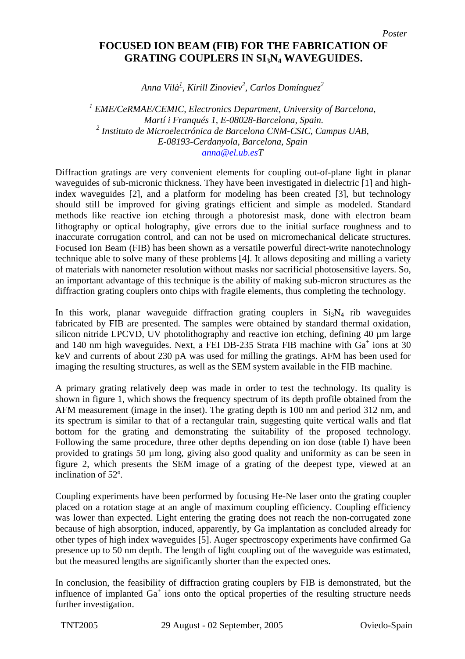## **FOCUSED ION BEAM (FIB) FOR THE FABRICATION OF GRATING COUPLERS IN SI3N4 WAVEGUIDES.**

*Anna Vilà1 , Kirill Zinoviev2 , Carlos Domínguez<sup>2</sup>*

<sup>1</sup> EME/CeRMAE/CEMIC, Electronics Department, University of Barcelona,  *Martí i Franqués 1, E-08028-Barcelona, Spain. 2 Instituto de Microelectrónica de Barcelona CNM-CSIC, Campus UAB, E-08193-Cerdanyola, Barcelona, Spain [anna@el.ub.esT](mailto:anna@el.ub.es)*

Diffraction gratings are very convenient elements for coupling out-of-plane light in planar waveguides of sub-micronic thickness. They have been investigated in dielectric [1] and highindex waveguides [2], and a platform for modeling has been created [3], but technology should still be improved for giving gratings efficient and simple as modeled. Standard methods like reactive ion etching through a photoresist mask, done with electron beam lithography or optical holography, give errors due to the initial surface roughness and to inaccurate corrugation control, and can not be used on micromechanical delicate structures. Focused Ion Beam (FIB) has been shown as a versatile powerful direct-write nanotechnology technique able to solve many of these problems [4]. It allows depositing and milling a variety of materials with nanometer resolution without masks nor sacrificial photosensitive layers. So, an important advantage of this technique is the ability of making sub-micron structures as the diffraction grating couplers onto chips with fragile elements, thus completing the technology.

In this work, planar waveguide diffraction grating couplers in  $Si<sub>3</sub>N<sub>4</sub>$  rib waveguides fabricated by FIB are presented. The samples were obtained by standard thermal oxidation, silicon nitride LPCVD, UV photolithography and reactive ion etching, defining 40  $\mu$ m large and 140 nm high waveguides. Next, a FEI DB-235 Strata FIB machine with  $Ga<sup>+</sup>$  ions at 30 keV and currents of about 230 pA was used for milling the gratings. AFM has been used for imaging the resulting structures, as well as the SEM system available in the FIB machine.

A primary grating relatively deep was made in order to test the technology. Its quality is shown in figure 1, which shows the frequency spectrum of its depth profile obtained from the AFM measurement (image in the inset). The grating depth is 100 nm and period 312 nm, and its spectrum is similar to that of a rectangular train, suggesting quite vertical walls and flat bottom for the grating and demonstrating the suitability of the proposed technology. Following the same procedure, three other depths depending on ion dose (table I) have been provided to gratings 50 µm long, giving also good quality and uniformity as can be seen in figure 2, which presents the SEM image of a grating of the deepest type, viewed at an inclination of 52º.

Coupling experiments have been performed by focusing He-Ne laser onto the grating coupler placed on a rotation stage at an angle of maximum coupling efficiency. Coupling efficiency was lower than expected. Light entering the grating does not reach the non-corrugated zone because of high absorption, induced, apparently, by Ga implantation as concluded already for other types of high index waveguides [5]. Auger spectroscopy experiments have confirmed Ga presence up to 50 nm depth. The length of light coupling out of the waveguide was estimated, but the measured lengths are significantly shorter than the expected ones.

In conclusion, the feasibility of diffraction grating couplers by FIB is demonstrated, but the influence of implanted  $Ga<sup>+</sup>$  ions onto the optical properties of the resulting structure needs further investigation.